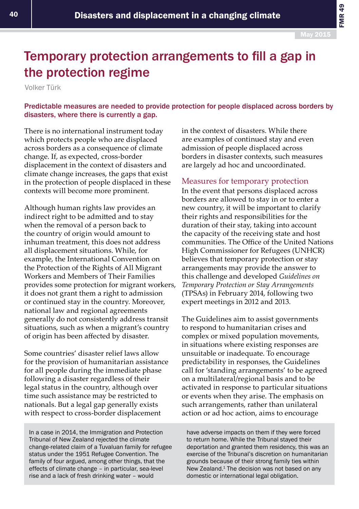FMR 49

## Temporary protection arrangements to fill a gap in the protection regime

Volker Türk

Predictable measures are needed to provide protection for people displaced across borders by disasters, where there is currently a gap.

There is no international instrument today which protects people who are displaced across borders as a consequence of climate change. If, as expected, cross-border displacement in the context of disasters and climate change increases, the gaps that exist in the protection of people displaced in these contexts will become more prominent.

Although human rights law provides an indirect right to be admitted and to stay when the removal of a person back to the country of origin would amount to inhuman treatment, this does not address all displacement situations. While, for example, the International Convention on the Protection of the Rights of All Migrant Workers and Members of Their Families provides some protection for migrant workers, it does not grant them a right to admission or continued stay in the country. Moreover, national law and regional agreements generally do not consistently address transit situations, such as when a migrant's country of origin has been affected by disaster.

Some countries' disaster relief laws allow for the provision of humanitarian assistance for all people during the immediate phase following a disaster regardless of their legal status in the country, although over time such assistance may be restricted to nationals. But a legal gap generally exists with respect to cross-border displacement

in the context of disasters. While there are examples of continued stay and even admission of people displaced across borders in disaster contexts, such measures are largely ad hoc and uncoordinated.

## Measures for temporary protection

In the event that persons displaced across borders are allowed to stay in or to enter a new country, it will be important to clarify their rights and responsibilities for the duration of their stay, taking into account the capacity of the receiving state and host communities. The Office of the United Nations High Commissioner for Refugees (UNHCR) believes that temporary protection or stay arrangements may provide the answer to this challenge and developed *Guidelines on Temporary Protection or Stay Arrangements* (TPSAs) in February 2014, following two expert meetings in 2012 and 2013.

The Guidelines aim to assist governments to respond to humanitarian crises and complex or mixed population movements, in situations where existing responses are unsuitable or inadequate. To encourage predictability in responses, the Guidelines call for 'standing arrangements' to be agreed on a multilateral/regional basis and to be activated in response to particular situations or events when they arise. The emphasis on such arrangements, rather than unilateral action or ad hoc action, aims to encourage

In a case in 2014, the Immigration and Protection Tribunal of New Zealand rejected the climate change-related claim of a Tuvaluan family for refugee status under the 1951 Refugee Convention. The family of four argued, among other things, that the effects of climate change – in particular, sea-level rise and a lack of fresh drinking water – would

have adverse impacts on them if they were forced to return home. While the Tribunal stayed their deportation and granted them residency, this was an exercise of the Tribunal's discretion on humanitarian grounds because of their strong family ties within New Zealand.<sup>1</sup> The decision was not based on any domestic or international legal obligation.